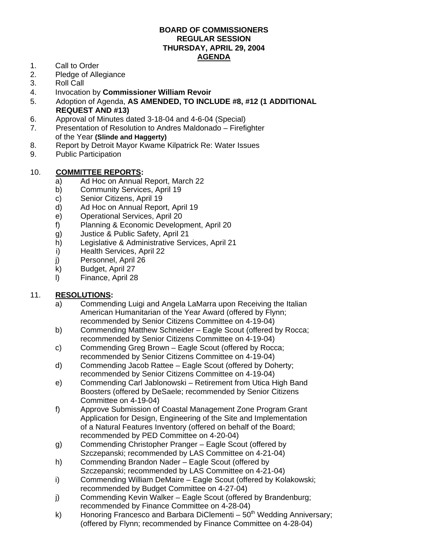## **BOARD OF COMMISSIONERS REGULAR SESSION THURSDAY, APRIL 29, 2004 AGENDA**

- 1. Call to Order
- 2. Pledge of Allegiance
- 3. Roll Call
- 4. Invocation by **Commissioner William Revoir**
- 5. Adoption of Agenda, **AS AMENDED, TO INCLUDE #8, #12 (1 ADDITIONAL REQUEST AND #13)**
- 6. Approval of Minutes dated 3-18-04 and 4-6-04 (Special)
- 7. Presentation of Resolution to Andres Maldonado Firefighter of the Year **(Slinde and Haggerty)**
- 8. Report by Detroit Mayor Kwame Kilpatrick Re: Water Issues
- 9. Public Participation

#### 10. **COMMITTEE REPORTS:**

- a) Ad Hoc on Annual Report, March 22
- b) Community Services, April 19
- c) Senior Citizens, April 19
- d) Ad Hoc on Annual Report, April 19
- e) Operational Services, April 20
- f) Planning & Economic Development, April 20
- g) Justice & Public Safety, April 21
- h) Legislative & Administrative Services, April 21
- i) Health Services, April 22
- j) Personnel, April 26
- k) Budget, April 27
- l) Finance, April 28

### 11. **RESOLUTIONS:**

- a) Commending Luigi and Angela LaMarra upon Receiving the Italian American Humanitarian of the Year Award (offered by Flynn; recommended by Senior Citizens Committee on 4-19-04)
- b) Commending Matthew Schneider Eagle Scout (offered by Rocca; recommended by Senior Citizens Committee on 4-19-04)
- c) Commending Greg Brown Eagle Scout (offered by Rocca; recommended by Senior Citizens Committee on 4-19-04)
- d) Commending Jacob Rattee Eagle Scout (offered by Doherty; recommended by Senior Citizens Committee on 4-19-04)
- e) Commending Carl Jablonowski Retirement from Utica High Band Boosters (offered by DeSaele; recommended by Senior Citizens Committee on 4-19-04)
- f) Approve Submission of Coastal Management Zone Program Grant Application for Design, Engineering of the Site and Implementation of a Natural Features Inventory (offered on behalf of the Board; recommended by PED Committee on 4-20-04)
- g) Commending Christopher Pranger Eagle Scout (offered by Szczepanski; recommended by LAS Committee on 4-21-04)
- h) Commending Brandon Nader Eagle Scout (offered by Szczepanski; recommended by LAS Committee on 4-21-04)
- i) Commending William DeMaire Eagle Scout (offered by Kolakowski; recommended by Budget Committee on 4-27-04)
- j) Commending Kevin Walker Eagle Scout (offered by Brandenburg; recommended by Finance Committee on 4-28-04)
- k) Honoring Francesco and Barbara DiClementi  $50<sup>th</sup>$  Wedding Anniversary; (offered by Flynn; recommended by Finance Committee on 4-28-04)